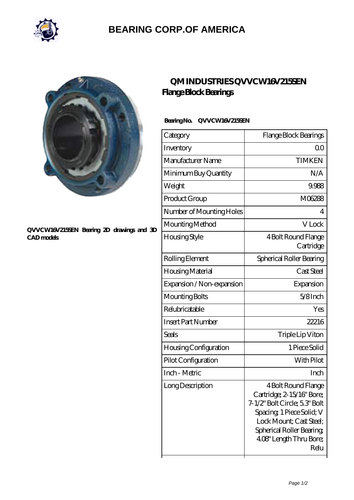

## **[BEARING CORP.OF AMERICA](https://bluemondayreview.com)**



#### **[QVVCW16V215SEN Bearing 2D drawings and 3D](https://bluemondayreview.com/pic-175497.html) [CAD models](https://bluemondayreview.com/pic-175497.html)**

## **[QM INDUSTRIES QVVCW16V215SEN](https://bluemondayreview.com/bs-175497-qm-industries-qvvcw16v215sen-flange-block-bearings.html) [Flange Block Bearings](https://bluemondayreview.com/bs-175497-qm-industries-qvvcw16v215sen-flange-block-bearings.html)**

### **Bearing No. QVVCW16V215SEN**

| Category                     | Flange Block Bearings                                                                                                                                                                                   |
|------------------------------|---------------------------------------------------------------------------------------------------------------------------------------------------------------------------------------------------------|
| Inventory                    | Q0                                                                                                                                                                                                      |
| Manufacturer Name            | <b>TIMKEN</b>                                                                                                                                                                                           |
| Minimum Buy Quantity         | N/A                                                                                                                                                                                                     |
| Weight                       | 9.988                                                                                                                                                                                                   |
| Product Group                | M06288                                                                                                                                                                                                  |
| Number of Mounting Holes     | 4                                                                                                                                                                                                       |
| Mounting Method              | V Lock                                                                                                                                                                                                  |
| Housing Style                | 4 Bolt Round Flange<br>Cartridge                                                                                                                                                                        |
| Rolling Element              | Spherical Roller Bearing                                                                                                                                                                                |
| Housing Material             | Cast Steel                                                                                                                                                                                              |
| Expansion / Non-expansion    | Expansion                                                                                                                                                                                               |
| Mounting Bolts               | $5/8$ Inch                                                                                                                                                                                              |
| Relubricatable               | Yes                                                                                                                                                                                                     |
| <b>Insert Part Number</b>    | 22216                                                                                                                                                                                                   |
| Seals                        | Triple Lip Viton                                                                                                                                                                                        |
| <b>Housing Configuration</b> | 1 Piece Solid                                                                                                                                                                                           |
| Pilot Configuration          | With Pilot                                                                                                                                                                                              |
| Inch - Metric                | Inch                                                                                                                                                                                                    |
| Long Description             | 4 Bolt Round Flange<br>Cartridge; 2-15/16" Bore;<br>7-1/2" Bolt Circle; 5.3" Bolt<br>Spacing, 1 Piece Solid; V<br>Lock Mount; Cast Steel;<br>Spherical Roller Bearing<br>408" Length Thru Bore;<br>Relu |